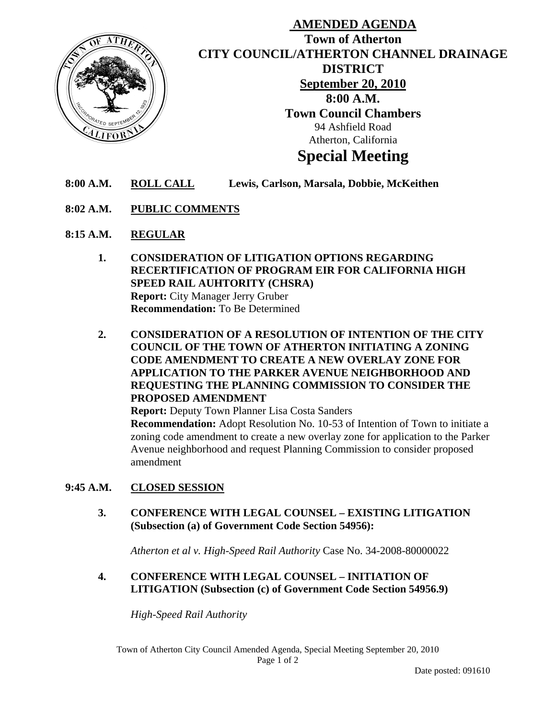

# **AMENDED AGENDA Town of Atherton CITY COUNCIL/ATHERTON CHANNEL DRAINAGE DISTRICT September 20, 2010 8:00 A.M. Town Council Chambers**  94 Ashfield Road Atherton, California

# **Special Meeting**

- **8:00 A.M. ROLL CALL Lewis, Carlson, Marsala, Dobbie, McKeithen**
- **8:02 A.M. PUBLIC COMMENTS**
- **8:15 A.M. REGULAR**
	- **1. CONSIDERATION OF LITIGATION OPTIONS REGARDING RECERTIFICATION OF PROGRAM EIR FOR CALIFORNIA HIGH SPEED RAIL AUHTORITY (CHSRA) Report:** City Manager Jerry Gruber  **Recommendation:** To Be Determined
	- **2. CONSIDERATION OF A RESOLUTION OF INTENTION OF THE CITY COUNCIL OF THE TOWN OF ATHERTON INITIATING A ZONING CODE AMENDMENT TO CREATE A NEW OVERLAY ZONE FOR APPLICATION TO THE PARKER AVENUE NEIGHBORHOOD AND REQUESTING THE PLANNING COMMISSION TO CONSIDER THE PROPOSED AMENDMENT**

**Report:** Deputy Town Planner Lisa Costa Sanders

 **Recommendation:** Adopt Resolution No. 10-53 of Intention of Town to initiate a zoning code amendment to create a new overlay zone for application to the Parker Avenue neighborhood and request Planning Commission to consider proposed amendment

# **9:45 A.M. CLOSED SESSION**

**3. CONFERENCE WITH LEGAL COUNSEL – EXISTING LITIGATION (Subsection (a) of Government Code Section 54956):**

*Atherton et al v. High-Speed Rail Authority* Case No. 34-2008-80000022

**4. CONFERENCE WITH LEGAL COUNSEL – INITIATION OF LITIGATION (Subsection (c) of Government Code Section 54956.9)** 

*High-Speed Rail Authority*

Town of Atherton City Council Amended Agenda, Special Meeting September 20, 2010 Page 1 of 2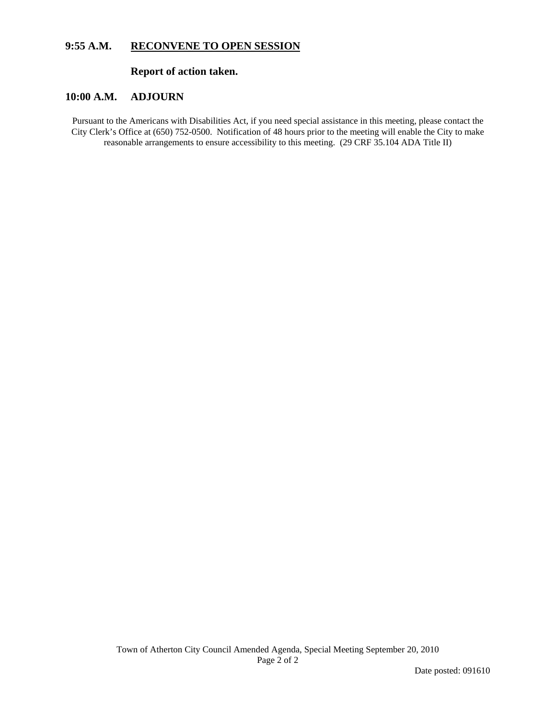# **9:55 A.M. RECONVENE TO OPEN SESSION**

# **Report of action taken.**

#### **10:00 A.M. ADJOURN**

Pursuant to the Americans with Disabilities Act, if you need special assistance in this meeting, please contact the City Clerk's Office at (650) 752-0500. Notification of 48 hours prior to the meeting will enable the City to make reasonable arrangements to ensure accessibility to this meeting. (29 CRF 35.104 ADA Title II)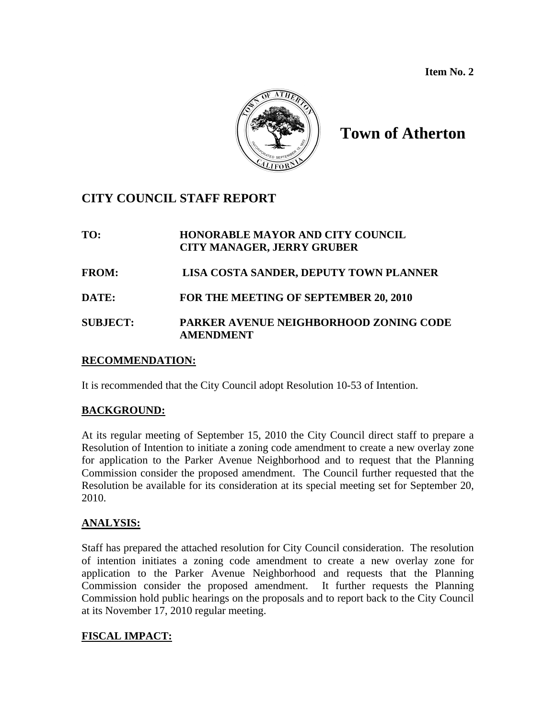**Item No. 2** 



# **Town of Atherton**

# **CITY COUNCIL STAFF REPORT**

# **TO: HONORABLE MAYOR AND CITY COUNCIL CITY MANAGER, JERRY GRUBER FROM: LISA COSTA SANDER, DEPUTY TOWN PLANNER DATE: FOR THE MEETING OF SEPTEMBER 20, 2010 SUBJECT: PARKER AVENUE NEIGHBORHOOD ZONING CODE AMENDMENT**

# **RECOMMENDATION:**

It is recommended that the City Council adopt Resolution 10-53 of Intention.

# **BACKGROUND:**

At its regular meeting of September 15, 2010 the City Council direct staff to prepare a Resolution of Intention to initiate a zoning code amendment to create a new overlay zone for application to the Parker Avenue Neighborhood and to request that the Planning Commission consider the proposed amendment. The Council further requested that the Resolution be available for its consideration at its special meeting set for September 20, 2010.

# **ANALYSIS:**

Staff has prepared the attached resolution for City Council consideration. The resolution of intention initiates a zoning code amendment to create a new overlay zone for application to the Parker Avenue Neighborhood and requests that the Planning Commission consider the proposed amendment. It further requests the Planning Commission hold public hearings on the proposals and to report back to the City Council at its November 17, 2010 regular meeting.

# **FISCAL IMPACT:**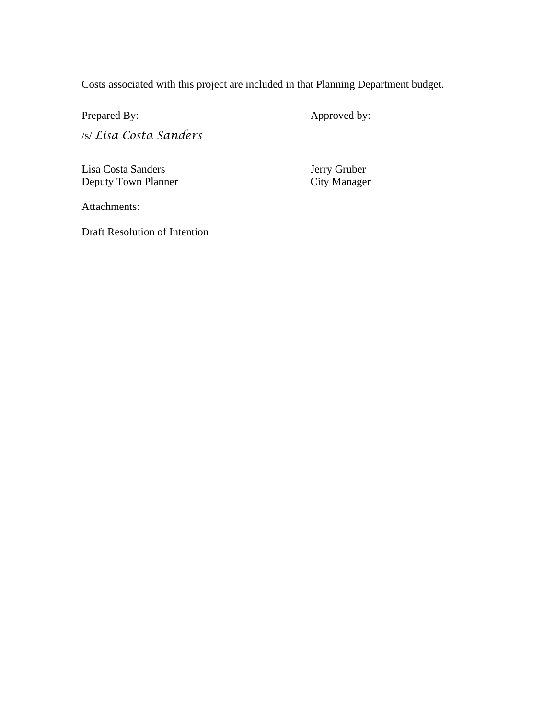Costs associated with this project are included in that Planning Department budget.

 $\overline{\phantom{0}}$ 

Prepared By: Approved by:

 $\overline{a}$ 

/s/ *Lisa Costa Sanders*

Lisa Costa Sanders<br>
Deputy Town Planner<br>
City Manager Deputy Town Planner

Attachments:

Draft Resolution of Intention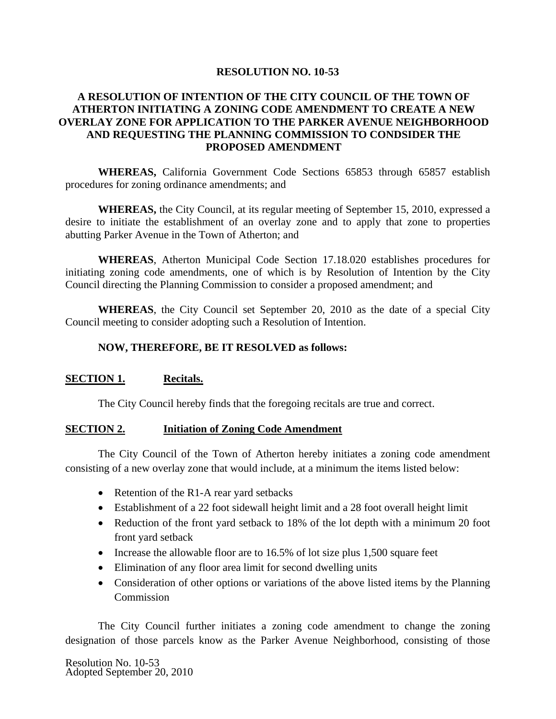#### **RESOLUTION NO. 10-53**

# **A RESOLUTION OF INTENTION OF THE CITY COUNCIL OF THE TOWN OF ATHERTON INITIATING A ZONING CODE AMENDMENT TO CREATE A NEW OVERLAY ZONE FOR APPLICATION TO THE PARKER AVENUE NEIGHBORHOOD AND REQUESTING THE PLANNING COMMISSION TO CONDSIDER THE PROPOSED AMENDMENT**

 **WHEREAS,** California Government Code Sections 65853 through 65857 establish procedures for zoning ordinance amendments; and

**WHEREAS,** the City Council, at its regular meeting of September 15, 2010, expressed a desire to initiate the establishment of an overlay zone and to apply that zone to properties abutting Parker Avenue in the Town of Atherton; and

**WHEREAS**, Atherton Municipal Code Section 17.18.020 establishes procedures for initiating zoning code amendments, one of which is by Resolution of Intention by the City Council directing the Planning Commission to consider a proposed amendment; and

**WHEREAS**, the City Council set September 20, 2010 as the date of a special City Council meeting to consider adopting such a Resolution of Intention.

#### **NOW, THEREFORE, BE IT RESOLVED as follows:**

#### **SECTION 1. Recitals.**

The City Council hereby finds that the foregoing recitals are true and correct.

#### **SECTION 2. Initiation of Zoning Code Amendment**

The City Council of the Town of Atherton hereby initiates a zoning code amendment consisting of a new overlay zone that would include, at a minimum the items listed below:

- Retention of the R1-A rear yard setbacks
- Establishment of a 22 foot sidewall height limit and a 28 foot overall height limit
- Reduction of the front yard setback to 18% of the lot depth with a minimum 20 foot front yard setback
- Increase the allowable floor are to 16.5% of lot size plus 1,500 square feet
- Elimination of any floor area limit for second dwelling units
- Consideration of other options or variations of the above listed items by the Planning Commission

The City Council further initiates a zoning code amendment to change the zoning designation of those parcels know as the Parker Avenue Neighborhood, consisting of those

Resolution No. 10-53 Adopted September 20, 2010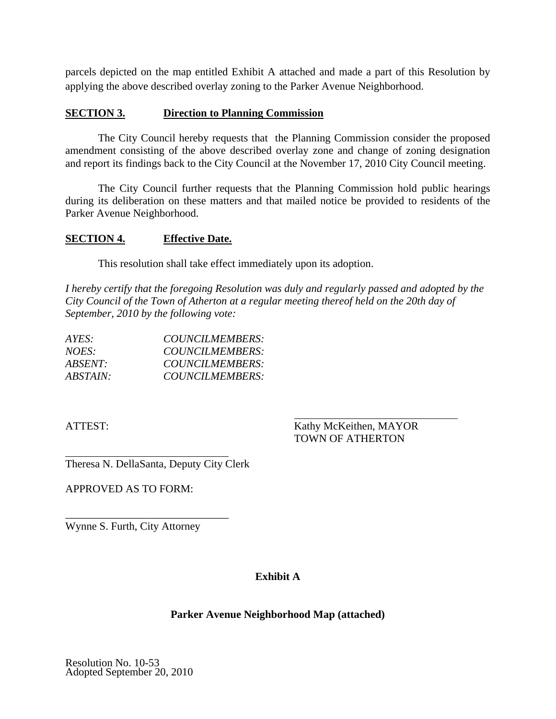parcels depicted on the map entitled Exhibit A attached and made a part of this Resolution by applying the above described overlay zoning to the Parker Avenue Neighborhood.

# **SECTION 3. Direction to Planning Commission**

The City Council hereby requests that the Planning Commission consider the proposed amendment consisting of the above described overlay zone and change of zoning designation and report its findings back to the City Council at the November 17, 2010 City Council meeting.

The City Council further requests that the Planning Commission hold public hearings during its deliberation on these matters and that mailed notice be provided to residents of the Parker Avenue Neighborhood.

# **SECTION 4. Effective Date.**

This resolution shall take effect immediately upon its adoption.

*I hereby certify that the foregoing Resolution was duly and regularly passed and adopted by the City Council of the Town of Atherton at a regular meeting thereof held on the 20th day of September, 2010 by the following vote:* 

| AYES:           | COUNCILMEMBERS: |
|-----------------|-----------------|
| NOES:           | COUNCILMEMBERS: |
| ABSENT:         | COUNCILMEMBERS: |
| <i>ABSTAIN:</i> | COUNCILMEMBERS: |

 $\overline{a}$ 

ATTEST: Kathy McKeithen, MAYOR TOWN OF ATHERTON

Theresa N. DellaSanta, Deputy City Clerk

APPROVED AS TO FORM:

Wynne S. Furth, City Attorney

\_\_\_\_\_\_\_\_\_\_\_\_\_\_\_\_\_\_\_\_\_\_\_\_\_\_\_\_\_\_

# **Exhibit A**

# **Parker Avenue Neighborhood Map (attached)**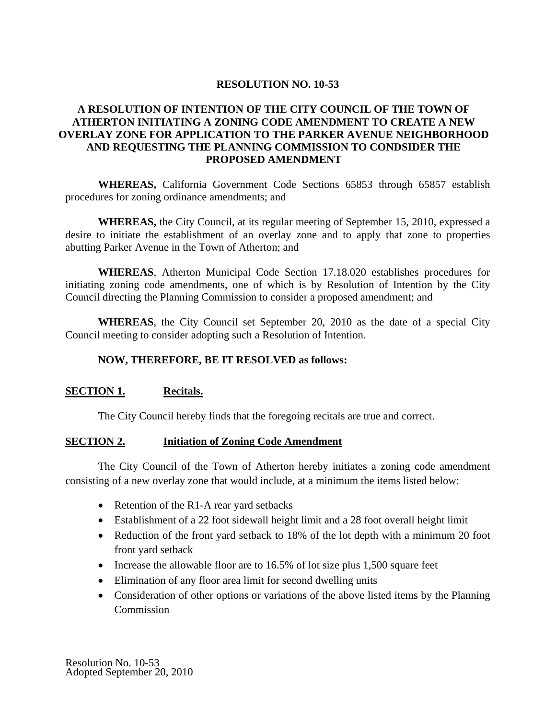# **RESOLUTION NO. 10-53**

# **A RESOLUTION OF INTENTION OF THE CITY COUNCIL OF THE TOWN OF ATHERTON INITIATING A ZONING CODE AMENDMENT TO CREATE A NEW OVERLAY ZONE FOR APPLICATION TO THE PARKER AVENUE NEIGHBORHOOD AND REQUESTING THE PLANNING COMMISSION TO CONDSIDER THE PROPOSED AMENDMENT**

 **WHEREAS,** California Government Code Sections 65853 through 65857 establish procedures for zoning ordinance amendments; and

**WHEREAS,** the City Council, at its regular meeting of September 15, 2010, expressed a desire to initiate the establishment of an overlay zone and to apply that zone to properties abutting Parker Avenue in the Town of Atherton; and

**WHEREAS**, Atherton Municipal Code Section 17.18.020 establishes procedures for initiating zoning code amendments, one of which is by Resolution of Intention by the City Council directing the Planning Commission to consider a proposed amendment; and

**WHEREAS**, the City Council set September 20, 2010 as the date of a special City Council meeting to consider adopting such a Resolution of Intention.

# **NOW, THEREFORE, BE IT RESOLVED as follows:**

# **SECTION 1. Recitals.**

The City Council hereby finds that the foregoing recitals are true and correct.

#### **SECTION 2. Initiation of Zoning Code Amendment**

The City Council of the Town of Atherton hereby initiates a zoning code amendment consisting of a new overlay zone that would include, at a minimum the items listed below:

- Retention of the R1-A rear yard setbacks
- Establishment of a 22 foot sidewall height limit and a 28 foot overall height limit
- Reduction of the front yard setback to 18% of the lot depth with a minimum 20 foot front yard setback
- Increase the allowable floor are to 16.5% of lot size plus 1,500 square feet
- Elimination of any floor area limit for second dwelling units
- Consideration of other options or variations of the above listed items by the Planning **Commission**